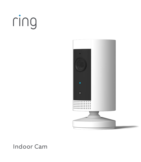# ring



#### Indoor Cam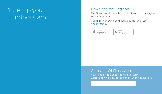# 1. Set up your Indoor Cam.

#### Download the Ring app.

The Ring app walks you through setting up and managing your Indoor Cam.

Search for "Ring" in one of these app stores, or visit: ring.com/app.



GET IT ON  $\blacktriangleright$  Google play

#### Grab your Wi-Fi password.

You'll need it to set up your Indoor Cam. Write it down below so it's handy when you need it: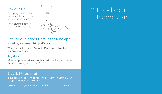# Power it up!

First, plug the included power cable into the back of your Indoor Cam.

Then plug the power supply into an outlet.



# 2. Install your Indoor Cam.

### Set up your Indoor Cam in the Ring app.

In the Ring app, select Set Up a Device.

When prompted, select Security Cams and follow the in-app instructions.

# Try it out!

After setup, tap the Live View button in the Ring app to see live video from your Indoor Cam.

# Blue light flashing?

If the light on the front of your Indoor Cam is flashing after setup, it's updating its software.

Do not unplug your Indoor Cam while the light is flashing!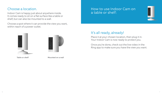#### Choose a location.

Indoor Cam is happy just about anywhere inside. It comes ready to sit on a flat surface like a table or shelf, but can also be mounted to a wall.

Choose a spot where it can provide the view you want, within reach of a power outlet.



Table or shelf Mounted on a wall

#### How to use Indoor Cam on a table or shelf:



# It's all ready, already!

Place it at your chosen location, then plug it in. Your Indoor Cam is now ready to protect you.

Once you're done, check out the live video in the Ring app to make sure you have the view you want.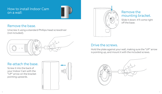#### How to install Indoor Cam on a wall:



#### Remove the base.

Unscrew it using a standard Phillips-head screwdriver (not included).



#### Re-attach the base.

Screw it into the back of your Indoor Cam with the "UP" arrow on the bracket pointing upwards.





#### Remove the mounting bracket.

Slide it down. It'll come right off the base.

# Drive the screws.

Hold the plate against your wall, making sure the "UP" arrow is pointing up, and mount it with the included screws.

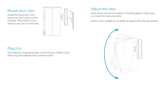#### Mount your Cam.

Guide the grooves in the base onto the hooks on the bracket. Slide Indoor Cam down to secure it to the wall.



# Plug it in.

Once secure, plug the power cord into your Indoor Cam, then plug the adapter into a power outlet.

# Adjust the view.

Now check out the live video in the Ring app to make sure you have the view you want.

Indoor Cam rotates on its base, so adjust the view as needed.